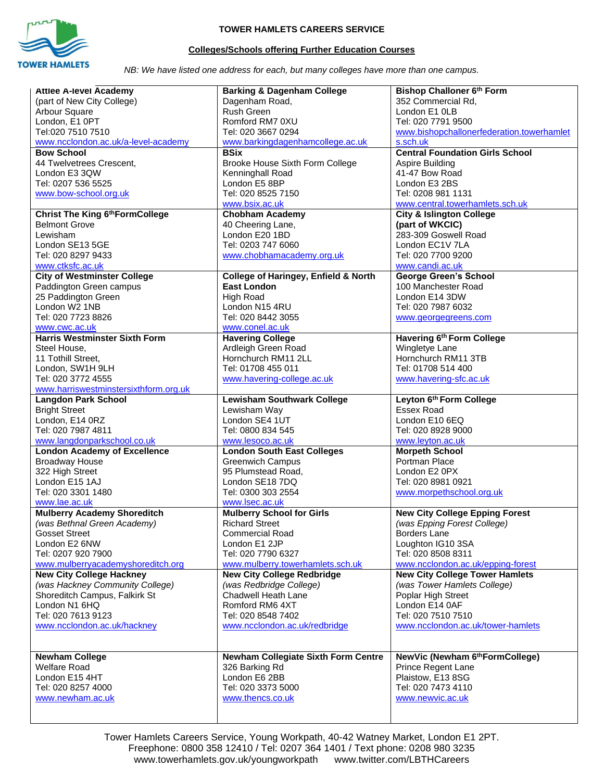

## **TOWER HAMLETS CAREERS SERVICE**

## **Colleges/Schools offering Further Education Courses**

*NB: We have listed one address for each, but many colleges have more than one campus.*

| <b>Attlee A-level Academy</b>         | <b>Barking &amp; Dagenham College</b>                                 | <b>Bishop Challoner 6th Form</b>          |
|---------------------------------------|-----------------------------------------------------------------------|-------------------------------------------|
|                                       |                                                                       |                                           |
| (part of New City College)            | Dagenham Road,                                                        | 352 Commercial Rd,                        |
| Arbour Square                         | <b>Rush Green</b>                                                     | London E1 0LB                             |
| London, E1 OPT                        | Romford RM7 0XU                                                       | Tel: 020 7791 9500                        |
| Tel:020 7510 7510                     | Tel: 020 3667 0294                                                    | www.bishopchallonerfederation.towerhamlet |
| www.ncclondon.ac.uk/a-level-academy   | www.barkingdagenhamcollege.ac.uk                                      | s.sch.uk                                  |
| <b>Bow School</b>                     | <b>BSix</b>                                                           | <b>Central Foundation Girls School</b>    |
| 44 Twelvetrees Crescent,              | Brooke House Sixth Form College                                       | Aspire Building                           |
| London E3 3QW                         | Kenninghall Road                                                      | 41-47 Bow Road                            |
|                                       |                                                                       | London E3 2BS                             |
| Tel: 0207 536 5525                    | London E5 8BP                                                         |                                           |
| www.bow-school.org.uk                 | Tel: 020 8525 7150                                                    | Tel: 0208 981 1131                        |
|                                       | www.bsix.ac.uk                                                        | www.central.towerhamlets.sch.uk           |
| Christ The King 6th Form College      | <b>Chobham Academy</b>                                                | <b>City &amp; Islington College</b>       |
| <b>Belmont Grove</b>                  | 40 Cheering Lane,                                                     | (part of WKCIC)                           |
| Lewisham                              | London E20 1BD                                                        | 283-309 Goswell Road                      |
| London SE13 5GE                       | Tel: 0203 747 6060                                                    | London EC1V 7LA                           |
| Tel: 020 8297 9433                    | www.chobhamacademy.org.uk                                             | Tel: 020 7700 9200                        |
| www.ctksfc.ac.uk                      |                                                                       | www.candi.ac.uk                           |
| <b>City of Westminster College</b>    |                                                                       | <b>George Green's School</b>              |
|                                       | <b>College of Haringey, Enfield &amp; North</b><br><b>East London</b> |                                           |
| Paddington Green campus               |                                                                       | 100 Manchester Road                       |
| 25 Paddington Green                   | <b>High Road</b>                                                      | London E14 3DW                            |
| London W2 1NB                         | London N15 4RU                                                        | Tel: 020 7987 6032                        |
| Tel: 020 7723 8826                    | Tel: 020 8442 3055                                                    | www.georgegreens.com                      |
| www.cwc.ac.uk                         | www.conel.ac.uk                                                       |                                           |
| <b>Harris Westminster Sixth Form</b>  | <b>Havering College</b>                                               | Havering 6th Form College                 |
| Steel House,                          | Ardleigh Green Road                                                   | Wingletye Lane                            |
| 11 Tothill Street,                    | Hornchurch RM11 2LL                                                   | Hornchurch RM11 3TB                       |
|                                       | Tel: 01708 455 011                                                    | Tel: 01708 514 400                        |
| London, SW1H 9LH                      |                                                                       |                                           |
| Tel: 020 3772 4555                    | www.havering-college.ac.uk                                            | www.havering-sfc.ac.uk                    |
| www.harriswestminstersixthform.org.uk |                                                                       |                                           |
| <b>Langdon Park School</b>            | <b>Lewisham Southwark College</b>                                     | Leyton 6th Form College                   |
| <b>Bright Street</b>                  | Lewisham Way                                                          | <b>Essex Road</b>                         |
| London, E14 0RZ                       | London SE4 1UT                                                        | London E10 6EQ                            |
| Tel: 020 7987 4811                    | Tel: 0800 834 545                                                     | Tel: 020 8928 9000                        |
| www.langdonparkschool.co.uk           | www.lesoco.ac.uk                                                      | www.leyton.ac.uk                          |
| <b>London Academy of Excellence</b>   | <b>London South East Colleges</b>                                     | <b>Morpeth School</b>                     |
| <b>Broadway House</b>                 | <b>Greenwich Campus</b>                                               | Portman Place                             |
| 322 High Street                       | 95 Plumstead Road.                                                    | London E2 0PX                             |
| London E15 1AJ                        | London SE18 7DQ                                                       | Tel: 020 8981 0921                        |
|                                       |                                                                       |                                           |
| Tel: 020 3301 1480                    | Tel: 0300 303 2554                                                    | www.morpethschool.org.uk                  |
| www.lae.ac.uk                         | www.lsec.ac.uk                                                        |                                           |
| <b>Mulberry Academy Shoreditch</b>    | <b>Mulberry School for Girls</b>                                      | <b>New City College Epping Forest</b>     |
| (was Bethnal Green Academy)           | <b>Richard Street</b>                                                 | (was Epping Forest College)               |
| <b>Gosset Street</b>                  | <b>Commercial Road</b>                                                | Borders Lane                              |
| London E2 6NW                         | London E1 2JP                                                         | Loughton IG10 3SA                         |
| Tel: 0207 920 7900                    | Tel: 020 7790 6327                                                    | Tel: 020 8508 8311                        |
| www.mulberryacademyshoreditch.org     | www.mulberry.towerhamlets.sch.uk                                      | www.ncclondon.ac.uk/epping-forest         |
| <b>New City College Hackney</b>       | <b>New City College Redbridge</b>                                     | <b>New City College Tower Hamlets</b>     |
| (was Hackney Community College)       | (was Redbridge College)                                               | (was Tower Hamlets College)               |
| Shoreditch Campus, Falkirk St         | Chadwell Heath Lane                                                   | Poplar High Street                        |
|                                       |                                                                       |                                           |
| London N1 6HQ                         | Romford RM6 4XT                                                       | London E14 0AF                            |
| Tel: 020 7613 9123                    | Tel: 020 8548 7402                                                    | Tel: 020 7510 7510                        |
| www.ncclondon.ac.uk/hackney           | www.ncclondon.ac.uk/redbridge                                         | www.ncclondon.ac.uk/tower-hamlets         |
|                                       |                                                                       |                                           |
|                                       |                                                                       |                                           |
| <b>Newham College</b>                 | Newham Collegiate Sixth Form Centre                                   | NewVic (Newham 6th Form College)          |
| <b>Welfare Road</b>                   | 326 Barking Rd                                                        | Prince Regent Lane                        |
| London E15 4HT                        | London E6 2BB                                                         | Plaistow, E13 8SG                         |
| Tel: 020 8257 4000                    | Tel: 020 3373 5000                                                    | Tel: 020 7473 4110                        |
| www.newham.ac.uk                      | www.thencs.co.uk                                                      | www.newvic.ac.uk                          |
|                                       |                                                                       |                                           |
|                                       |                                                                       |                                           |